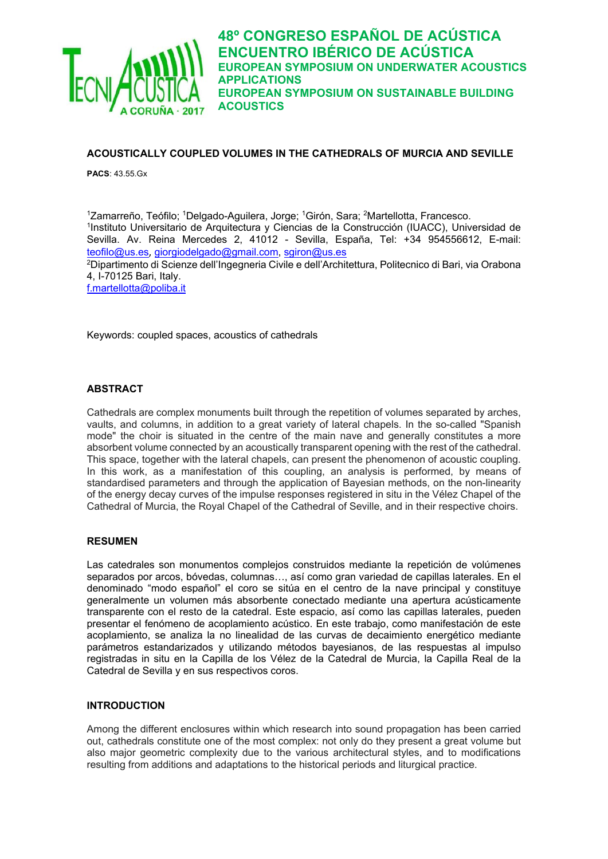

## **ACOUSTICALLY COUPLED VOLUMES IN THE CATHEDRALS OF MURCIA AND SEVILLE**

**PACS**: 43.55.Gx

<sup>1</sup>Zamarreño, Teófilo; <sup>1</sup>Delgado-Aguilera, Jorge; <sup>1</sup>Girón, Sara; <sup>2</sup>Martellotta, Francesco. 1Instituto Universitario de Arquitectura y Ciencias de la Construcción (IUACC), Universidad de Sevilla. Av. Reina Mercedes 2, 41012 - Sevilla, España, Tel: +34 954556612, E-mail: teofilo@us.es, giorgiodelgado@gmail.com, sgiron@us.es

2Dipartimento di Scienze dell'Ingegneria Civile e dell'Architettura, Politecnico di Bari, via Orabona 4, I-70125 Bari, Italy.

f.martellotta@poliba.it

Keywords: coupled spaces, acoustics of cathedrals

## **ABSTRACT**

Cathedrals are complex monuments built through the repetition of volumes separated by arches, vaults, and columns, in addition to a great variety of lateral chapels. In the so-called "Spanish mode" the choir is situated in the centre of the main nave and generally constitutes a more absorbent volume connected by an acoustically transparent opening with the rest of the cathedral. This space, together with the lateral chapels, can present the phenomenon of acoustic coupling. In this work, as a manifestation of this coupling, an analysis is performed, by means of standardised parameters and through the application of Bayesian methods, on the non-linearity of the energy decay curves of the impulse responses registered in situ in the Vélez Chapel of the Cathedral of Murcia, the Royal Chapel of the Cathedral of Seville, and in their respective choirs.

### **RESUMEN**

Las catedrales son monumentos complejos construidos mediante la repetición de volúmenes separados por arcos, bóvedas, columnas…, así como gran variedad de capillas laterales. En el denominado "modo español" el coro se sitúa en el centro de la nave principal y constituye generalmente un volumen más absorbente conectado mediante una apertura acústicamente transparente con el resto de la catedral. Este espacio, así como las capillas laterales, pueden presentar el fenómeno de acoplamiento acústico. En este trabajo, como manifestación de este acoplamiento, se analiza la no linealidad de las curvas de decaimiento energético mediante parámetros estandarizados y utilizando métodos bayesianos, de las respuestas al impulso registradas in situ en la Capilla de los Vélez de la Catedral de Murcia, la Capilla Real de la Catedral de Sevilla y en sus respectivos coros.

### **INTRODUCTION**

Among the different enclosures within which research into sound propagation has been carried out, cathedrals constitute one of the most complex: not only do they present a great volume but also major geometric complexity due to the various architectural styles, and to modifications resulting from additions and adaptations to the historical periods and liturgical practice.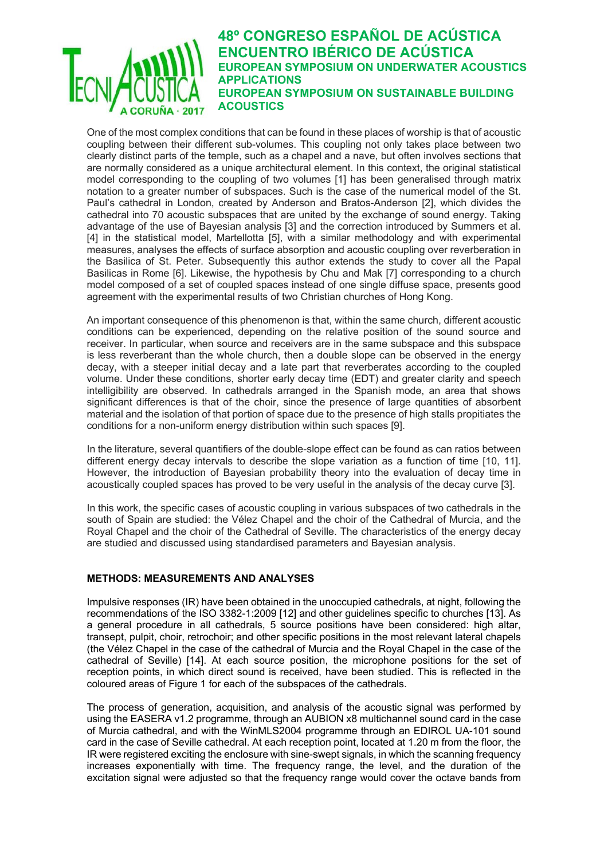One of the most complex conditions that can be found in these places of worship is that of acoustic coupling between their different sub-volumes. This coupling not only takes place between two clearly distinct parts of the temple, such as a chapel and a nave, but often involves sections that are normally considered as a unique architectural element. In this context, the original statistical model corresponding to the coupling of two volumes [1] has been generalised through matrix notation to a greater number of subspaces. Such is the case of the numerical model of the St. Paul's cathedral in London, created by Anderson and Bratos-Anderson [2], which divides the cathedral into 70 acoustic subspaces that are united by the exchange of sound energy. Taking advantage of the use of Bayesian analysis [3] and the correction introduced by Summers et al. [4] in the statistical model, Martellotta [5], with a similar methodology and with experimental measures, analyses the effects of surface absorption and acoustic coupling over reverberation in the Basilica of St. Peter. Subsequently this author extends the study to cover all the Papal Basilicas in Rome [6]. Likewise, the hypothesis by Chu and Mak [7] corresponding to a church model composed of a set of coupled spaces instead of one single diffuse space, presents good agreement with the experimental results of two Christian churches of Hong Kong.

An important consequence of this phenomenon is that, within the same church, different acoustic conditions can be experienced, depending on the relative position of the sound source and receiver. In particular, when source and receivers are in the same subspace and this subspace is less reverberant than the whole church, then a double slope can be observed in the energy decay, with a steeper initial decay and a late part that reverberates according to the coupled volume. Under these conditions, shorter early decay time (EDT) and greater clarity and speech intelligibility are observed. In cathedrals arranged in the Spanish mode, an area that shows significant differences is that of the choir, since the presence of large quantities of absorbent material and the isolation of that portion of space due to the presence of high stalls propitiates the conditions for a non-uniform energy distribution within such spaces [9].

In the literature, several quantifiers of the double-slope effect can be found as can ratios between different energy decay intervals to describe the slope variation as a function of time [10, 11]. However, the introduction of Bayesian probability theory into the evaluation of decay time in acoustically coupled spaces has proved to be very useful in the analysis of the decay curve [3].

In this work, the specific cases of acoustic coupling in various subspaces of two cathedrals in the south of Spain are studied: the Vélez Chapel and the choir of the Cathedral of Murcia, and the Royal Chapel and the choir of the Cathedral of Seville. The characteristics of the energy decay are studied and discussed using standardised parameters and Bayesian analysis.

## **METHODS: MEASUREMENTS AND ANALYSES**

Impulsive responses (IR) have been obtained in the unoccupied cathedrals, at night, following the recommendations of the ISO 3382-1:2009 [12] and other guidelines specific to churches [13]. As a general procedure in all cathedrals, 5 source positions have been considered: high altar, transept, pulpit, choir, retrochoir; and other specific positions in the most relevant lateral chapels (the Vélez Chapel in the case of the cathedral of Murcia and the Royal Chapel in the case of the cathedral of Seville) [14]. At each source position, the microphone positions for the set of reception points, in which direct sound is received, have been studied. This is reflected in the coloured areas of Figure 1 for each of the subspaces of the cathedrals.

The process of generation, acquisition, and analysis of the acoustic signal was performed by using the EASERA v1.2 programme, through an AUBION x8 multichannel sound card in the case of Murcia cathedral, and with the WinMLS2004 programme through an EDIROL UA-101 sound card in the case of Seville cathedral. At each reception point, located at 1.20 m from the floor, the IR were registered exciting the enclosure with sine-swept signals, in which the scanning frequency increases exponentially with time. The frequency range, the level, and the duration of the excitation signal were adjusted so that the frequency range would cover the octave bands from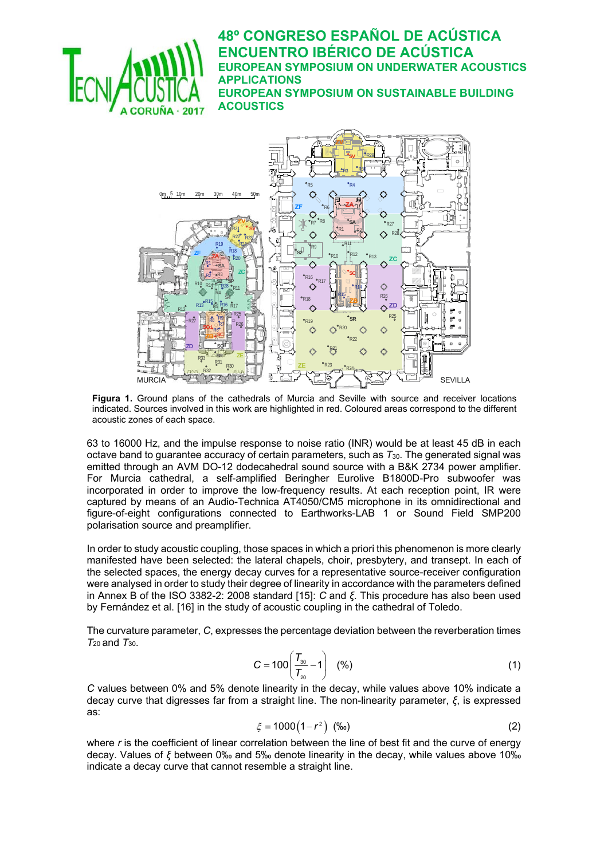



**Figura 1.** Ground plans of the cathedrals of Murcia and Seville with source and receiver locations indicated. Sources involved in this work are highlighted in red. Coloured areas correspond to the different acoustic zones of each space.

63 to 16000 Hz, and the impulse response to noise ratio (INR) would be at least 45 dB in each octave band to guarantee accuracy of certain parameters, such as *T*30. The generated signal was emitted through an AVM DO-12 dodecahedral sound source with a B&K 2734 power amplifier. For Murcia cathedral, a self-amplified Beringher Eurolive B1800D-Pro subwoofer was incorporated in order to improve the low-frequency results. At each reception point, IR were captured by means of an Audio-Technica AT4050/CM5 microphone in its omnidirectional and figure-of-eight configurations connected to Earthworks-LAB 1 or Sound Field SMP200 polarisation source and preamplifier.

In order to study acoustic coupling, those spaces in which a priori this phenomenon is more clearly manifested have been selected: the lateral chapels, choir, presbytery, and transept. In each of the selected spaces, the energy decay curves for a representative source-receiver configuration were analysed in order to study their degree of linearity in accordance with the parameters defined in Annex B of the ISO 3382-2: 2008 standard [15]: *C* and *ξ*. This procedure has also been used by Fernández et al. [16] in the study of acoustic coupling in the cathedral of Toledo.

The curvature parameter, *C*, expresses the percentage deviation between the reverberation times *T*20 and *T*30.

$$
C = 100 \left( \frac{T_{30}}{T_{20}} - 1 \right) \quad \text{(%)} \tag{1}
$$

*C* values between 0% and 5% denote linearity in the decay, while values above 10% indicate a decay curve that digresses far from a straight line. The non-linearity parameter, *ξ*, is expressed as:

$$
\xi = 1000(1 - r^2) \quad (\%_0)
$$
 (2)

where *r* is the coefficient of linear correlation between the line of best fit and the curve of energy decay. Values of *ξ* between 0‰ and 5‰ denote linearity in the decay, while values above 10‰ indicate a decay curve that cannot resemble a straight line.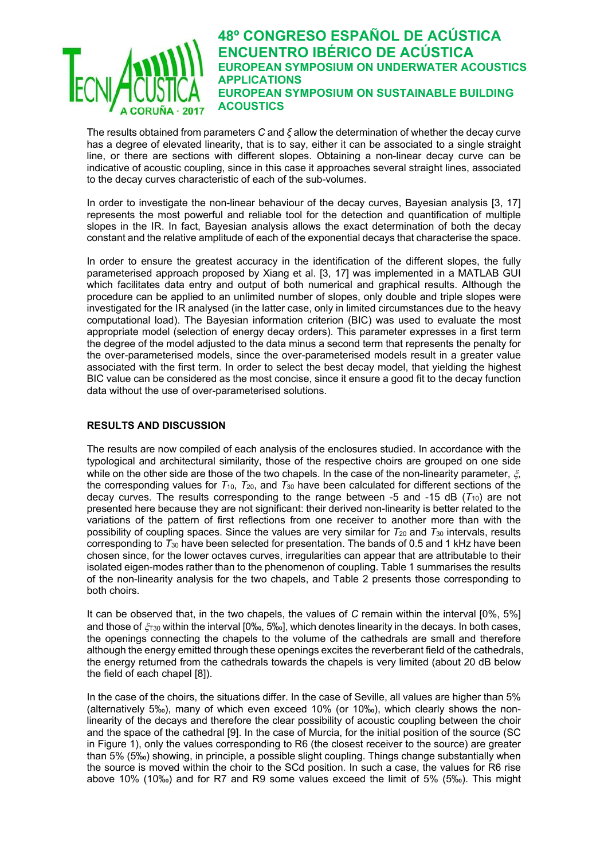The results obtained from parameters *C* and *ξ* allow the determination of whether the decay curve has a degree of elevated linearity, that is to say, either it can be associated to a single straight line, or there are sections with different slopes. Obtaining a non-linear decay curve can be indicative of acoustic coupling, since in this case it approaches several straight lines, associated to the decay curves characteristic of each of the sub-volumes.

In order to investigate the non-linear behaviour of the decay curves, Bayesian analysis [3, 17] represents the most powerful and reliable tool for the detection and quantification of multiple slopes in the IR. In fact, Bayesian analysis allows the exact determination of both the decay constant and the relative amplitude of each of the exponential decays that characterise the space.

In order to ensure the greatest accuracy in the identification of the different slopes, the fully parameterised approach proposed by Xiang et al. [3, 17] was implemented in a MATLAB GUI which facilitates data entry and output of both numerical and graphical results. Although the procedure can be applied to an unlimited number of slopes, only double and triple slopes were investigated for the IR analysed (in the latter case, only in limited circumstances due to the heavy computational load). The Bayesian information criterion (BIC) was used to evaluate the most appropriate model (selection of energy decay orders). This parameter expresses in a first term the degree of the model adjusted to the data minus a second term that represents the penalty for the over-parameterised models, since the over-parameterised models result in a greater value associated with the first term. In order to select the best decay model, that yielding the highest BIC value can be considered as the most concise, since it ensure a good fit to the decay function data without the use of over-parameterised solutions.

## **RESULTS AND DISCUSSION**

The results are now compiled of each analysis of the enclosures studied. In accordance with the typological and architectural similarity, those of the respective choirs are grouped on one side while on the other side are those of the two chapels. In the case of the non-linearity parameter,  $\xi$ , the corresponding values for *T*10, *T*20, and *T*30 have been calculated for different sections of the decay curves. The results corresponding to the range between -5 and -15 dB  $(T_{10})$  are not presented here because they are not significant: their derived non-linearity is better related to the variations of the pattern of first reflections from one receiver to another more than with the possibility of coupling spaces. Since the values are very similar for *T*20 and *T*30 intervals, results corresponding to *T*30 have been selected for presentation. The bands of 0.5 and 1 kHz have been chosen since, for the lower octaves curves, irregularities can appear that are attributable to their isolated eigen-modes rather than to the phenomenon of coupling. Table 1 summarises the results of the non-linearity analysis for the two chapels, and Table 2 presents those corresponding to both choirs.

It can be observed that, in the two chapels, the values of *C* remain within the interval [0%, 5%] and those of  $\zeta_{730}$  within the interval [0‰, 5‰], which denotes linearity in the decays. In both cases, the openings connecting the chapels to the volume of the cathedrals are small and therefore although the energy emitted through these openings excites the reverberant field of the cathedrals, the energy returned from the cathedrals towards the chapels is very limited (about 20 dB below the field of each chapel [8]).

In the case of the choirs, the situations differ. In the case of Seville, all values are higher than 5% (alternatively 5‰), many of which even exceed 10% (or 10‰), which clearly shows the nonlinearity of the decays and therefore the clear possibility of acoustic coupling between the choir and the space of the cathedral [9]. In the case of Murcia, for the initial position of the source (SC in Figure 1), only the values corresponding to R6 (the closest receiver to the source) are greater than 5% (5‰) showing, in principle, a possible slight coupling. Things change substantially when the source is moved within the choir to the SCd position. In such a case, the values for R6 rise above 10% (10‰) and for R7 and R9 some values exceed the limit of 5% (5‰). This might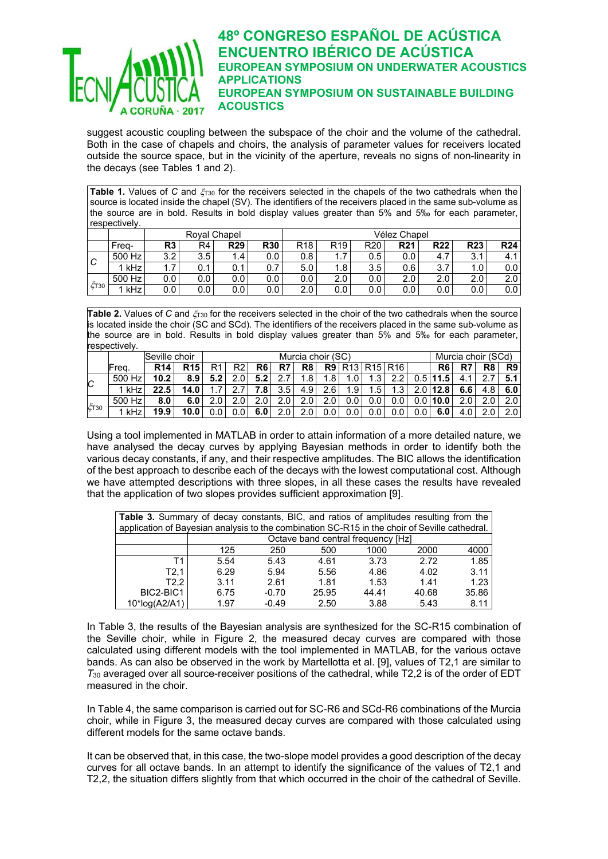

suggest acoustic coupling between the subspace of the choir and the volume of the cathedral. Both in the case of chapels and choirs, the analysis of parameter values for receivers located outside the source space, but in the vicinity of the aperture, reveals no signs of non-linearity in the decays (see Tables 1 and 2).

**Table 1.** Values of C and  $\zeta_{30}$  for the receivers selected in the chapels of the two cathedrals when the source is located inside the chapel (SV). The identifiers of the receivers placed in the same sub-volume as the source are in bold. Results in bold display values greater than 5% and 5‰ for each parameter, respectively.

|             |        |                  |     | Roval Chapel |            | Vélez Chapel    |                 |                 |            |            |            |            |  |  |  |
|-------------|--------|------------------|-----|--------------|------------|-----------------|-----------------|-----------------|------------|------------|------------|------------|--|--|--|
|             | Frea-  | R <sub>3</sub>   | R4  | <b>R29</b>   | <b>R30</b> | R <sub>18</sub> | R <sub>19</sub> | R <sub>20</sub> | <b>R21</b> | <b>R22</b> | <b>R23</b> | <b>R24</b> |  |  |  |
| .C          | 500 Hz | 3.2              | 3.5 | . 4          | 0.0        | 0.8             | ۱. ۱            | 0.5             | 0.0        | 4.1        | 3.1        | 4.1        |  |  |  |
|             | l kHz  | $\overline{1.7}$ | 0.1 | 0.1          | 0.7        | 5.0             | 1.8             | 3.5             | 0.6        | 3.7        | : 0،       | 0.0        |  |  |  |
| $\zeta$ T30 | 500 Hz | 0.0              | 0.0 | 0.0          | 0.0        | 0.0             | 2.0             | 0.0             | 2.0        | 2.0        | 2.0        | 2.0        |  |  |  |
|             | kHz    | 0.0              | 0.0 | 0.0          | 0.0        | 2.0             | 0.0             | 0.0             | 0.0        | 0.0        | 0.0        | 0.0        |  |  |  |

Table 2. Values of C and  $\zeta_{130}$  for the receivers selected in the choir of the two cathedrals when the source is located inside the choir (SC and SCd). The identifiers of the receivers placed in the same sub-volume as the source are in bold. Results in bold display values greater than 5% and 5‰ for each parameter, respectively

| ---------- |               |            |                  |                   |      |                  |                  |                  |                  |                  |     |                       |                    |                    |     |          |                  |
|------------|---------------|------------|------------------|-------------------|------|------------------|------------------|------------------|------------------|------------------|-----|-----------------------|--------------------|--------------------|-----|----------|------------------|
|            | Seville choir |            |                  | Murcia choir (SC) |      |                  |                  |                  |                  |                  |     |                       | Murcia choir (SCd) |                    |     |          |                  |
|            | Freg.         | <b>R14</b> | <b>R15</b>       | R1                | R2   | R6               | R7               | R <sub>8</sub>   |                  |                  |     | <b>R9 R13 R15 R16</b> |                    | R <sub>6</sub>     | R7  | R8       | R <sub>9</sub>   |
| C          | 500 Hz        | 10.2       | 8.9 <sub>1</sub> | 5.2               | 2.01 | 5.2              | 2.7              | $1.8^{\circ}$    | 1.81             | 1.0              | ູ   | 2.2                   |                    | $0.5$ 11.5         |     | ◠        | 5.1              |
|            | 1 kHz         | 22.5       | 14.0             |                   |      | 7.8 I            | 3.5              | 4.9 <sub>1</sub> | 2.6              | 1.9 <sub>1</sub> | 1.5 | 1.3 <sub>l</sub>      |                    | $2.0$   12.8       | 6.6 |          | 6.0              |
|            | 500 Hz        | 8.0        | 6.0              |                   | 2.0  | 2.0 <sub>1</sub> | 2.0 <sub>1</sub> | 2.0              | 2.0 <sub>1</sub> | 0.0              | 0.0 | 0.0                   |                    | $0.01$ <b>10.0</b> | 2 O | $\Omega$ | 2.0              |
| ζτ30       | kHz           | 19.9       | 10.0             |                   | 0.0  | 6.0              | 2.01             | 2.0              |                  |                  | 0.0 | 0.0                   | 0.0                |                    |     |          | 2.0 <sub>1</sub> |

Using a tool implemented in MATLAB in order to attain information of a more detailed nature, we have analysed the decay curves by applying Bayesian methods in order to identify both the various decay constants, if any, and their respective amplitudes. The BIC allows the identification of the best approach to describe each of the decays with the lowest computational cost. Although we have attempted descriptions with three slopes, in all these cases the results have revealed that the application of two slopes provides sufficient approximation [9].

| <b>Table 3.</b> Summary of decay constants, BIC, and ratios of amplitudes resulting from the  |                                           |         |       |       |       |       |  |  |  |  |  |
|-----------------------------------------------------------------------------------------------|-------------------------------------------|---------|-------|-------|-------|-------|--|--|--|--|--|
| application of Bayesian analysis to the combination SC-R15 in the choir of Seville cathedral. |                                           |         |       |       |       |       |  |  |  |  |  |
|                                                                                               | Octave band central frequency [Hz]        |         |       |       |       |       |  |  |  |  |  |
|                                                                                               | 2000<br>4000<br>125<br>250<br>500<br>1000 |         |       |       |       |       |  |  |  |  |  |
| Τ1                                                                                            | 5.54                                      | 5.43    | 4.61  | 3.73  | 2.72  | 1.85  |  |  |  |  |  |
| T2.1                                                                                          | 6.29                                      | 5.94    | 5.56  | 4.86  | 4.02  | 3.11  |  |  |  |  |  |
| T2.2                                                                                          | 3.11                                      | 2.61    | 1.81  | 1.53  | 1.41  | 1.23  |  |  |  |  |  |
| BIC2-BIC1                                                                                     | 6.75                                      | $-0.70$ | 25.95 | 44.41 | 40.68 | 35.86 |  |  |  |  |  |
| 10*log(A2/A1)                                                                                 | 1.97                                      | $-0.49$ | 2.50  | 3.88  | 5.43  | 8.11  |  |  |  |  |  |

In Table 3, the results of the Bayesian analysis are synthesized for the SC-R15 combination of the Seville choir, while in Figure 2, the measured decay curves are compared with those calculated using different models with the tool implemented in MATLAB, for the various octave bands. As can also be observed in the work by Martellotta et al. [9], values of T2,1 are similar to *T*30 averaged over all source-receiver positions of the cathedral, while T2,2 is of the order of EDT measured in the choir.

In Table 4, the same comparison is carried out for SC-R6 and SCd-R6 combinations of the Murcia choir, while in Figure 3, the measured decay curves are compared with those calculated using different models for the same octave bands.

It can be observed that, in this case, the two-slope model provides a good description of the decay curves for all octave bands. In an attempt to identify the significance of the values of T2,1 and T2,2, the situation differs slightly from that which occurred in the choir of the cathedral of Seville.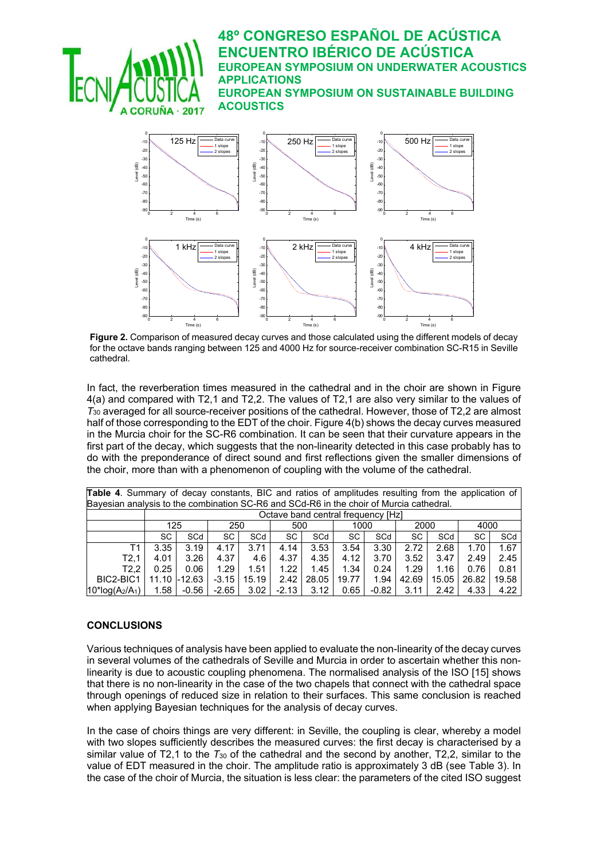

**Figure 2.** Comparison of measured decay curves and those calculated using the different models of decay for the octave bands ranging between 125 and 4000 Hz for source-receiver combination SC-R15 in Seville cathedral.

In fact, the reverberation times measured in the cathedral and in the choir are shown in Figure 4(a) and compared with T2,1 and T2,2. The values of T2,1 are also very similar to the values of  $T_{30}$  averaged for all source-receiver positions of the cathedral. However, those of T2,2 are almost half of those corresponding to the EDT of the choir. Figure 4(b) shows the decay curves measured in the Murcia choir for the SC-R6 combination. It can be seen that their curvature appears in the first part of the decay, which suggests that the non-linearity detected in this case probably has to do with the preponderance of direct sound and first reflections given the smaller dimensions of the choir, more than with a phenomenon of coupling with the volume of the cathedral.

| <b>Table 4.</b> Summary of decay constants, BIC and ratios of amplitudes resulting from the application of |                                           |                                    |         |       |           |       |       |         |       |       |       |       |  |
|------------------------------------------------------------------------------------------------------------|-------------------------------------------|------------------------------------|---------|-------|-----------|-------|-------|---------|-------|-------|-------|-------|--|
| Bayesian analysis to the combination SC-R6 and SCd-R6 in the choir of Murcia cathedral.                    |                                           |                                    |         |       |           |       |       |         |       |       |       |       |  |
|                                                                                                            |                                           | Octave band central frequency [Hz] |         |       |           |       |       |         |       |       |       |       |  |
|                                                                                                            | 125<br>250<br>2000<br>4000<br>500<br>1000 |                                    |         |       |           |       |       |         |       |       |       |       |  |
|                                                                                                            | SC.                                       | SCd                                | SC      | SCd   | <b>SC</b> | SCd   | SC    | SCd     | SC    | SCd   | SC    | SCd   |  |
| Т1                                                                                                         | 3.35                                      | 3.19                               | 4.17    | 3.71  | 4.14      | 3.53  | 3.54  | 3.30    | 2.72  | 2.68  | 1.70  | 1.67  |  |
| T2.1                                                                                                       | 4.01                                      | 3.26                               | 4.37    | 4.6   | 4.37      | 4.35  | 4.12  | 3.70    | 3.52  | 3.47  | 2.49  | 2.45  |  |
| T2.2                                                                                                       | 0.25                                      | 0.06                               | 1.29    | 1.51  | 1.22      | 1.45  | 1.34  | 0.24    | 1.29  | 1.16  | 0.76  | 0.81  |  |
| BIC2-BIC1                                                                                                  | 11.10                                     | $-12.63$                           | $-3.15$ | 15.19 | 2.42      | 28.05 | 19.77 | 1.94    | 42.69 | 15.05 | 26.82 | 19.58 |  |
| $10^*$ log(A <sub>2</sub> /A <sub>1</sub> )                                                                | 1.58                                      | -0.56                              | $-2.65$ | 3.02  | $-2.13$   | 3.12  | 0.65  | $-0.82$ | 3.11  | 2.42  | 4.33  | 4.22  |  |

## **CONCLUSIONS**

Various techniques of analysis have been applied to evaluate the non-linearity of the decay curves in several volumes of the cathedrals of Seville and Murcia in order to ascertain whether this nonlinearity is due to acoustic coupling phenomena. The normalised analysis of the ISO [15] shows that there is no non-linearity in the case of the two chapels that connect with the cathedral space through openings of reduced size in relation to their surfaces. This same conclusion is reached when applying Bayesian techniques for the analysis of decay curves.

In the case of choirs things are very different: in Seville, the coupling is clear, whereby a model with two slopes sufficiently describes the measured curves: the first decay is characterised by a similar value of T2,1 to the  $T_{30}$  of the cathedral and the second by another, T2,2, similar to the value of EDT measured in the choir. The amplitude ratio is approximately 3 dB (see Table 3). In the case of the choir of Murcia, the situation is less clear: the parameters of the cited ISO suggest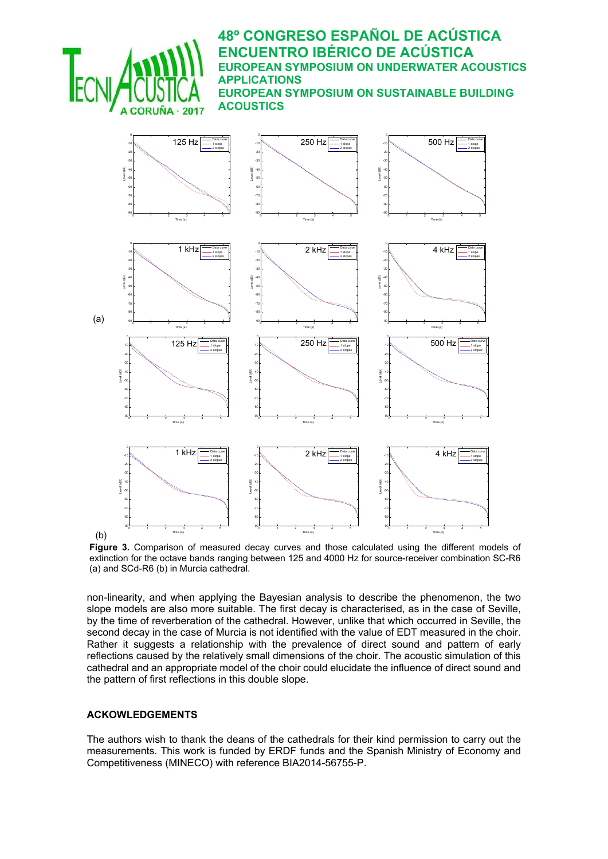

**Figure 3.** Comparison of measured decay curves and those calculated using the different models of extinction for the octave bands ranging between 125 and 4000 Hz for source-receiver combination SC-R6 (a) and SCd-R6 (b) in Murcia cathedral.

non-linearity, and when applying the Bayesian analysis to describe the phenomenon, the two slope models are also more suitable. The first decay is characterised, as in the case of Seville, by the time of reverberation of the cathedral. However, unlike that which occurred in Seville, the second decay in the case of Murcia is not identified with the value of EDT measured in the choir. Rather it suggests a relationship with the prevalence of direct sound and pattern of early reflections caused by the relatively small dimensions of the choir. The acoustic simulation of this cathedral and an appropriate model of the choir could elucidate the influence of direct sound and the pattern of first reflections in this double slope.

## **ACKOWLEDGEMENTS**

The authors wish to thank the deans of the cathedrals for their kind permission to carry out the measurements. This work is funded by ERDF funds and the Spanish Ministry of Economy and Competitiveness (MINECO) with reference BIA2014-56755-P.